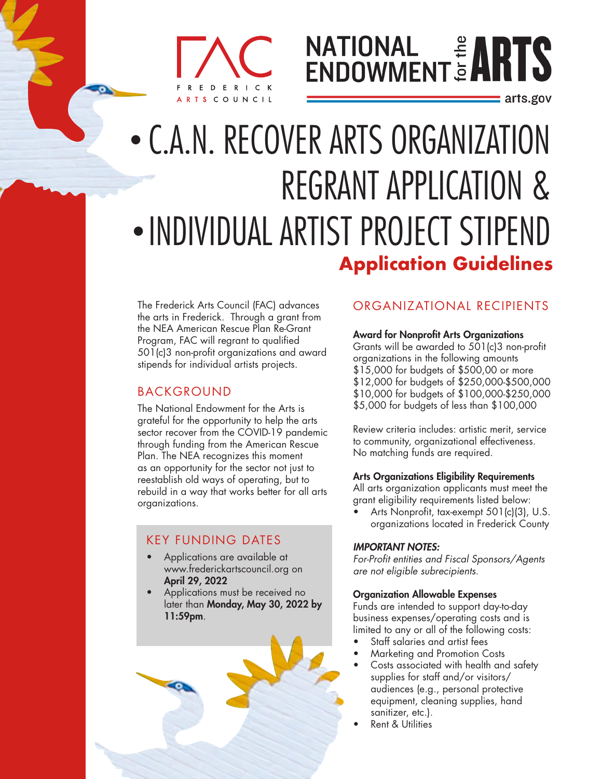## ERICK COUNCIL

# **NATIONAL # ARTS**

: arts.gov

## • C.A.N. RECOVER ARTS ORGANIZATION REGRANT APPLICATION & • INDIVIDUAL ARTIST PROJECT STIPEND **Application Guidelines**

The Frederick Arts Council (FAC) advances the arts in Frederick. Through a grant from the NEA American Rescue Plan Re-Grant Program, FAC will regrant to qualified 501(c)3 non-profit organizations and award stipends for individual artists projects.

#### BACKGROUND

The National Endowment for the Arts is grateful for the opportunity to help the arts sector recover from the COVID-19 pandemic through funding from the American Rescue Plan. The NEA recognizes this moment as an opportunity for the sector not just to reestablish old ways of operating, but to rebuild in a way that works better for all arts organizations.

### KEY FUNDING DATES

- Applications are available at www.frederickartscouncil.org on April 29, 2022
- Applications must be received no later than Monday, May 30, 2022 by 11:59pm.

#### ORGANIZATIONAL RECIPIENTS

#### Award for Nonprofit Arts Organizations

Grants will be awarded to 501(c)3 non-profit organizations in the following amounts \$15,000 for budgets of \$500,00 or more \$12,000 for budgets of \$250,000-\$500,000 \$10,000 for budgets of \$100,000-\$250,000 \$5,000 for budgets of less than \$100,000

Review criteria includes: artistic merit, service to community, organizational effectiveness. No matching funds are required.

#### Arts Organizations Eligibility Requirements

All arts organization applicants must meet the grant eligibility requirements listed below:

• Arts Nonprofit, tax-exempt 501(c)(3), U.S. organizations located in Frederick County

#### *IMPORTANT NOTES:*

*For-Profit entities and Fiscal Sponsors/Agents are not eligible subrecipients.* 

#### Organization Allowable Expenses

Funds are intended to support day-to-day business expenses/operating costs and is limited to any or all of the following costs:

- Staff salaries and artist fees
- Marketing and Promotion Costs
- Costs associated with health and safety supplies for staff and/or visitors/ audiences (e.g., personal protective equipment, cleaning supplies, hand sanitizer, etc.).
- Rent & Utilities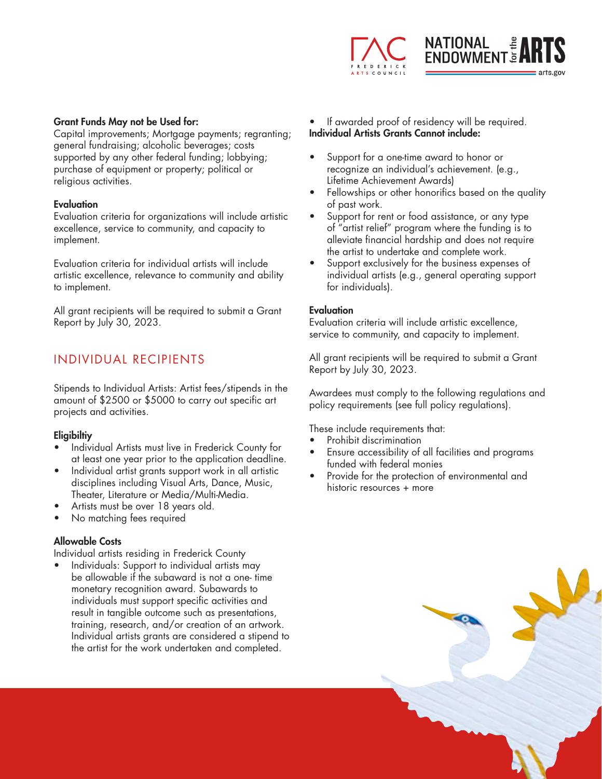

#### Grant Funds May not be Used for:

Capital improvements; Mortgage payments; regranting; general fundraising; alcoholic beverages; costs supported by any other federal funding; lobbying; purchase of equipment or property; political or religious activities.

#### **Evaluation**

Evaluation criteria for organizations will include artistic excellence, service to community, and capacity to implement.

Evaluation criteria for individual artists will include artistic excellence, relevance to community and ability to implement.

All grant recipients will be required to submit a Grant Report by July 30, 2023.

#### INDIVIDUAL RECIPIENTS

Stipends to Individual Artists: Artist fees/stipends in the amount of \$2500 or \$5000 to carry out specific art projects and activities.

#### Eligibiltiy

- Individual Artists must live in Frederick County for at least one year prior to the application deadline.
- Individual artist grants support work in all artistic disciplines including Visual Arts, Dance, Music, Theater, Literature or Media/Multi-Media.
- Artists must be over 18 years old.
- No matching fees required

#### Allowable Costs

Individual artists residing in Frederick County

• Individuals: Support to individual artists may be allowable if the subaward is not a one- time monetary recognition award. Subawards to individuals must support specific activities and result in tangible outcome such as presentations, training, research, and/or creation of an artwork. Individual artists grants are considered a stipend to the artist for the work undertaken and completed.

- If awarded proof of residency will be required. Individual Artists Grants Cannot include:
- Support for a one-time award to honor or recognize an individual's achievement. (e.g., Lifetime Achievement Awards)
- Fellowships or other honorifics based on the quality of past work.
- Support for rent or food assistance, or any type of "artist relief" program where the funding is to alleviate financial hardship and does not require the artist to undertake and complete work.
- Support exclusively for the business expenses of individual artists (e.g., general operating support for individuals).

#### Evaluation

Evaluation criteria will include artistic excellence, service to community, and capacity to implement.

All grant recipients will be required to submit a Grant Report by July 30, 2023.

Awardees must comply to the following regulations and policy requirements (see full policy regulations).

These include requirements that:

- Prohibit discrimination
- Ensure accessibility of all facilities and programs funded with federal monies
- Provide for the protection of environmental and historic resources + more